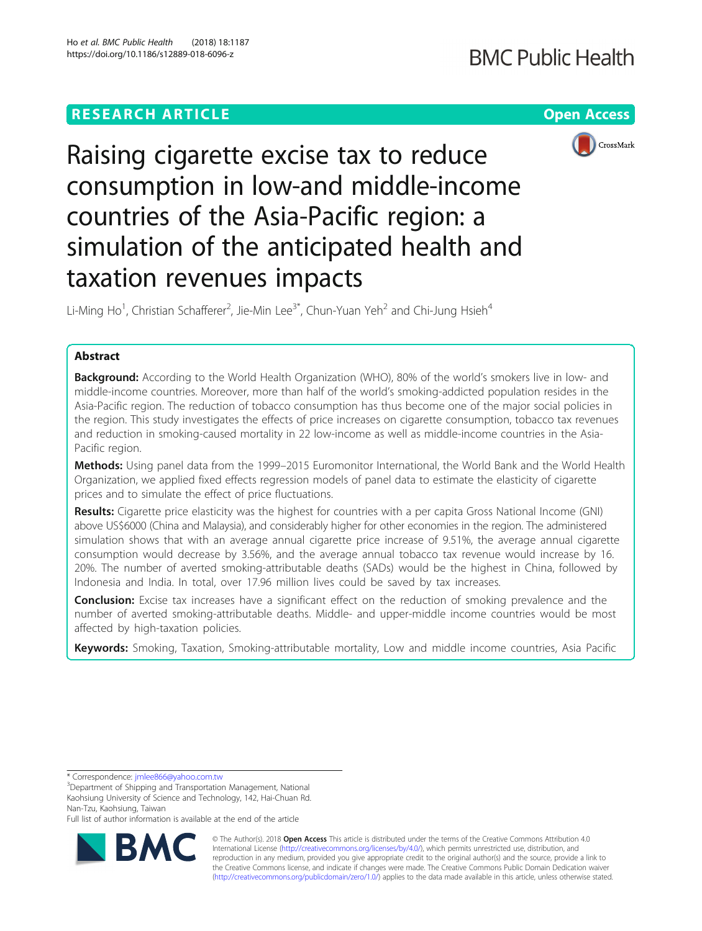

Raising cigarette excise tax to reduce consumption in low-and middle-income countries of the Asia-Pacific region: a simulation of the anticipated health and taxation revenues impacts

Li-Ming Ho<sup>1</sup>, Christian Schafferer<sup>2</sup>, Jie-Min Lee<sup>3\*</sup>, Chun-Yuan Yeh<sup>2</sup> and Chi-Jung Hsieh<sup>4</sup>

# Abstract

**Background:** According to the World Health Organization (WHO), 80% of the world's smokers live in low- and middle-income countries. Moreover, more than half of the world's smoking-addicted population resides in the Asia-Pacific region. The reduction of tobacco consumption has thus become one of the major social policies in the region. This study investigates the effects of price increases on cigarette consumption, tobacco tax revenues and reduction in smoking-caused mortality in 22 low-income as well as middle-income countries in the Asia-Pacific region.

Methods: Using panel data from the 1999–2015 Euromonitor International, the World Bank and the World Health Organization, we applied fixed effects regression models of panel data to estimate the elasticity of cigarette prices and to simulate the effect of price fluctuations.

Results: Cigarette price elasticity was the highest for countries with a per capita Gross National Income (GNI) above US\$6000 (China and Malaysia), and considerably higher for other economies in the region. The administered simulation shows that with an average annual cigarette price increase of 9.51%, the average annual cigarette consumption would decrease by 3.56%, and the average annual tobacco tax revenue would increase by 16. 20%. The number of averted smoking-attributable deaths (SADs) would be the highest in China, followed by Indonesia and India. In total, over 17.96 million lives could be saved by tax increases.

**Conclusion:** Excise tax increases have a significant effect on the reduction of smoking prevalence and the number of averted smoking-attributable deaths. Middle- and upper-middle income countries would be most affected by high-taxation policies.

Keywords: Smoking, Taxation, Smoking-attributable mortality, Low and middle income countries, Asia Pacific

\* Correspondence: [jmlee866@yahoo.com.tw](mailto:jmlee866@yahoo.com.tw) <sup>3</sup>

Full list of author information is available at the end of the article



© The Author(s). 2018 Open Access This article is distributed under the terms of the Creative Commons Attribution 4.0 International License [\(http://creativecommons.org/licenses/by/4.0/](http://creativecommons.org/licenses/by/4.0/)), which permits unrestricted use, distribution, and reproduction in any medium, provided you give appropriate credit to the original author(s) and the source, provide a link to the Creative Commons license, and indicate if changes were made. The Creative Commons Public Domain Dedication waiver [\(http://creativecommons.org/publicdomain/zero/1.0/](http://creativecommons.org/publicdomain/zero/1.0/)) applies to the data made available in this article, unless otherwise stated.

<sup>&</sup>lt;sup>3</sup>Department of Shipping and Transportation Management, National Kaohsiung University of Science and Technology, 142, Hai-Chuan Rd. Nan-Tzu, Kaohsiung, Taiwan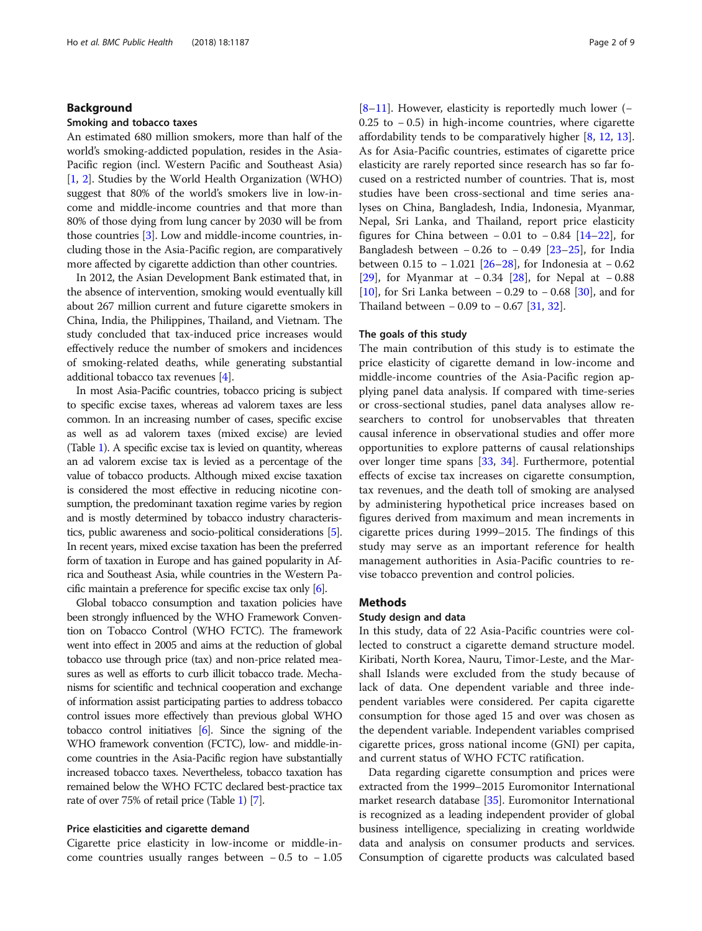# Background

### Smoking and tobacco taxes

An estimated 680 million smokers, more than half of the world's smoking-addicted population, resides in the Asia-Pacific region (incl. Western Pacific and Southeast Asia) [[1,](#page-7-0) [2\]](#page-7-0). Studies by the World Health Organization (WHO) suggest that 80% of the world's smokers live in low-income and middle-income countries and that more than 80% of those dying from lung cancer by 2030 will be from those countries [[3](#page-7-0)]. Low and middle-income countries, including those in the Asia-Pacific region, are comparatively more affected by cigarette addiction than other countries.

In 2012, the Asian Development Bank estimated that, in the absence of intervention, smoking would eventually kill about 267 million current and future cigarette smokers in China, India, the Philippines, Thailand, and Vietnam. The study concluded that tax-induced price increases would effectively reduce the number of smokers and incidences of smoking-related deaths, while generating substantial additional tobacco tax revenues [[4](#page-7-0)].

In most Asia-Pacific countries, tobacco pricing is subject to specific excise taxes, whereas ad valorem taxes are less common. In an increasing number of cases, specific excise as well as ad valorem taxes (mixed excise) are levied (Table [1](#page-2-0)). A specific excise tax is levied on quantity, whereas an ad valorem excise tax is levied as a percentage of the value of tobacco products. Although mixed excise taxation is considered the most effective in reducing nicotine consumption, the predominant taxation regime varies by region and is mostly determined by tobacco industry characteristics, public awareness and socio-political considerations [[5](#page-7-0)]. In recent years, mixed excise taxation has been the preferred form of taxation in Europe and has gained popularity in Africa and Southeast Asia, while countries in the Western Pacific maintain a preference for specific excise tax only [\[6\]](#page-7-0).

Global tobacco consumption and taxation policies have been strongly influenced by the WHO Framework Convention on Tobacco Control (WHO FCTC). The framework went into effect in 2005 and aims at the reduction of global tobacco use through price (tax) and non-price related measures as well as efforts to curb illicit tobacco trade. Mechanisms for scientific and technical cooperation and exchange of information assist participating parties to address tobacco control issues more effectively than previous global WHO tobacco control initiatives [\[6\]](#page-7-0). Since the signing of the WHO framework convention (FCTC), low- and middle-income countries in the Asia-Pacific region have substantially increased tobacco taxes. Nevertheless, tobacco taxation has remained below the WHO FCTC declared best-practice tax rate of over 75% of retail price (Table [1\)](#page-2-0) [\[7\]](#page-7-0).

### Price elasticities and cigarette demand

Cigarette price elasticity in low-income or middle-income countries usually ranges between  $-0.5$  to  $-1.05$  [[8](#page-7-0)–[11\]](#page-7-0). However, elasticity is reportedly much lower (− 0.25 to − 0.5) in high-income countries, where cigarette affordability tends to be comparatively higher [\[8](#page-7-0), [12](#page-7-0), [13](#page-7-0)]. As for Asia-Pacific countries, estimates of cigarette price elasticity are rarely reported since research has so far focused on a restricted number of countries. That is, most studies have been cross-sectional and time series analyses on China, Bangladesh, India, Indonesia, Myanmar, Nepal, Sri Lanka, and Thailand, report price elasticity figures for China between  $-0.01$  to  $-0.84$  [[14](#page-7-0)–[22](#page-8-0)], for Bangladesh between  $-0.26$  to  $-0.49$  [[23](#page-8-0)–[25](#page-8-0)], for India between 0.15 to  $-1.021$  [\[26](#page-8-0)–[28\]](#page-8-0), for Indonesia at  $-0.62$ [[29\]](#page-8-0), for Myanmar at −0.34 [\[28](#page-8-0)], for Nepal at −0.88 [[10\]](#page-7-0), for Sri Lanka between − 0.29 to − 0.68 [\[30](#page-8-0)], and for Thailand between − 0.09 to − 0.67 [\[31,](#page-8-0) [32\]](#page-8-0).

### The goals of this study

The main contribution of this study is to estimate the price elasticity of cigarette demand in low-income and middle-income countries of the Asia-Pacific region applying panel data analysis. If compared with time-series or cross-sectional studies, panel data analyses allow researchers to control for unobservables that threaten causal inference in observational studies and offer more opportunities to explore patterns of causal relationships over longer time spans [[33,](#page-8-0) [34\]](#page-8-0). Furthermore, potential effects of excise tax increases on cigarette consumption, tax revenues, and the death toll of smoking are analysed by administering hypothetical price increases based on figures derived from maximum and mean increments in cigarette prices during 1999–2015. The findings of this study may serve as an important reference for health management authorities in Asia-Pacific countries to revise tobacco prevention and control policies.

# **Methods**

### Study design and data

In this study, data of 22 Asia-Pacific countries were collected to construct a cigarette demand structure model. Kiribati, North Korea, Nauru, Timor-Leste, and the Marshall Islands were excluded from the study because of lack of data. One dependent variable and three independent variables were considered. Per capita cigarette consumption for those aged 15 and over was chosen as the dependent variable. Independent variables comprised cigarette prices, gross national income (GNI) per capita, and current status of WHO FCTC ratification.

Data regarding cigarette consumption and prices were extracted from the 1999–2015 Euromonitor International market research database [\[35](#page-8-0)]. Euromonitor International is recognized as a leading independent provider of global business intelligence, specializing in creating worldwide data and analysis on consumer products and services. Consumption of cigarette products was calculated based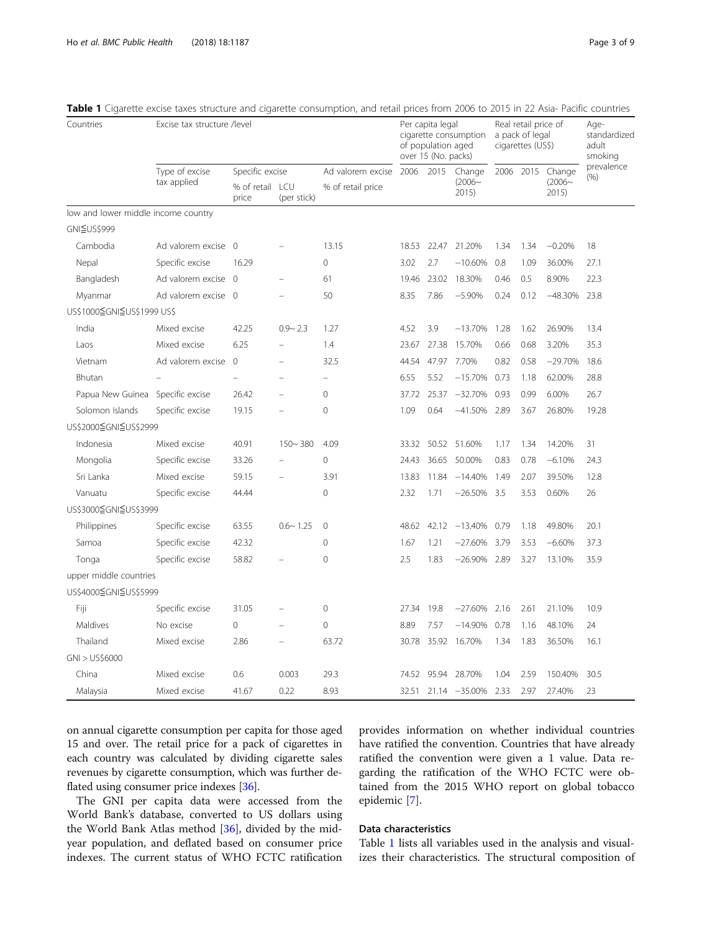Countries Excise tax structure /level

| Excise tax structure /level |                          |             |                        | Per capita legal<br>cigarette consumption<br>of population aged<br>over 15 (No. packs) |      |                  | Real retail price of<br>a pack of legal<br>cigarettes (US\$) |      |                           | Age-<br>standardized<br>adult<br>smoking |
|-----------------------------|--------------------------|-------------|------------------------|----------------------------------------------------------------------------------------|------|------------------|--------------------------------------------------------------|------|---------------------------|------------------------------------------|
| Type of excise              | Specific excise          |             | Ad valorem excise 2006 |                                                                                        | 2015 | Change           | 2006                                                         | 2015 | Change                    | prevalence                               |
| tax applied                 | % of retail ICU<br>price | (per stick) | % of retail price      |                                                                                        |      | $(2006-$<br>2015 |                                                              |      | (% )<br>$(2006-$<br>2015) |                                          |

<span id="page-2-0"></span>Table 1 Cigarette excise taxes structure and cigarette cons

| low and lower middle income country |                     |          |                          |              |       |       |                    |      |      |           |       |
|-------------------------------------|---------------------|----------|--------------------------|--------------|-------|-------|--------------------|------|------|-----------|-------|
| GNI≦US\$999                         |                     |          |                          |              |       |       |                    |      |      |           |       |
| Cambodia                            | Ad valorem excise 0 |          |                          | 13.15        | 18.53 | 22.47 | 21.20%             | 1.34 | 1.34 | $-0.20%$  | 18    |
| Nepal                               | Specific excise     | 16.29    |                          | $\Omega$     | 3.02  | 2.7   | $-10.60%$          | 0.8  | 1.09 | 36.00%    | 27.1  |
| Bangladesh                          | Ad valorem excise 0 |          | $\overline{ }$           | 61           | 19.46 | 23.02 | 18.30%             | 0.46 | 0.5  | 8.90%     | 22.3  |
| Myanmar                             | Ad valorem excise 0 |          |                          | 50           | 8.35  | 7.86  | $-5.90%$           | 0.24 | 0.12 | $-48.30%$ | 23.8  |
| US\$1000≦GNI≦US\$1999 US\$          |                     |          |                          |              |       |       |                    |      |      |           |       |
| India                               | Mixed excise        | 42.25    | $0.9 - 2.3$              | 1.27         | 4.52  | 3.9   | $-13.70%$          | 1.28 | 1.62 | 26.90%    | 13.4  |
| Laos                                | Mixed excise        | 6.25     |                          | 1.4          | 23.67 | 27.38 | 15.70%             | 0.66 | 0.68 | 3.20%     | 35.3  |
| Vietnam                             | Ad valorem excise   | $\Omega$ | $\equiv$                 | 32.5         | 44.54 | 47.97 | 7.70%              | 0.82 | 0.58 | $-29.70%$ | 18.6  |
| Bhutan                              |                     | L,       |                          | $\equiv$     | 6.55  | 5.52  | $-15.70%$          | 0.73 | 1.18 | 62.00%    | 28.8  |
| Papua New Guinea Specific excise    |                     | 26.42    | L.                       | $\Omega$     | 37.72 | 25.37 | $-32.70%$          | 0.93 | 0.99 | 6.00%     | 26.7  |
| Solomon Islands                     | Specific excise     | 19.15    |                          | $\mathbf{0}$ | 1.09  | 0.64  | $-41.50\%$ 2.89    |      | 3.67 | 26.80%    | 19.28 |
| US\$2000≦GNI≦US\$2999               |                     |          |                          |              |       |       |                    |      |      |           |       |
| Indonesia                           | Mixed excise        | 40.91    | $150 - 380$              | 4.09         | 33.32 |       | 50.52 51.60%       | 1.17 | 1.34 | 14.20%    | 31    |
| Mongolia                            | Specific excise     | 33.26    |                          | $\Omega$     | 24.43 | 36.65 | 50.00%             | 0.83 | 0.78 | $-6.10%$  | 24.3  |
| Sri Lanka                           | Mixed excise        | 59.15    |                          | 3.91         | 13.83 |       | 11.84 -14.40%      | 1.49 | 2.07 | 39.50%    | 12.8  |
| Vanuatu                             | Specific excise     | 44.44    |                          | $\mathbf{0}$ | 2.32  | 1.71  | $-26.50%$          | 3.5  | 3.53 | 0.60%     | 26    |
| US\$3000≦GNI≦US\$3999               |                     |          |                          |              |       |       |                    |      |      |           |       |
| Philippines                         | Specific excise     | 63.55    | $0.6 - 1.25$             | $\Omega$     | 48.62 |       | 42.12 -13.40%      | 0.79 | 1.18 | 49.80%    | 20.1  |
| Samoa                               | Specific excise     | 42.32    |                          | $\Omega$     | 1.67  | 1.21  | $-27.60%$          | 3.79 | 3.53 | $-6.60%$  | 37.3  |
| Tonga                               | Specific excise     | 58.82    |                          | 0            | 2.5   | 1.83  | $-26.90%$          | 2.89 | 3.27 | 13.10%    | 35.9  |
| upper middle countries              |                     |          |                          |              |       |       |                    |      |      |           |       |
| US\$4000≦GNI≦US\$5999               |                     |          |                          |              |       |       |                    |      |      |           |       |
| Fiji                                | Specific excise     | 31.05    | $\overline{\phantom{0}}$ | $\Omega$     | 27.34 | 19.8  | $-27.60%$          | 2.16 | 2.61 | 21.10%    | 10.9  |
| Maldives                            | No excise           | $\Omega$ | $\overline{a}$           | $\mathbf 0$  | 8.89  | 7.57  | $-14.90%$          | 0.78 | 1.16 | 48.10%    | 24    |
| Thailand                            | Mixed excise        | 2.86     | $\overline{\phantom{0}}$ | 63.72        |       |       | 30.78 35.92 16.70% | 1.34 | 1.83 | 36.50%    | 16.1  |
| GNI > US\$6000                      |                     |          |                          |              |       |       |                    |      |      |           |       |
| China                               | Mixed excise        | 0.6      | 0.003                    | 29.3         | 74.52 | 95.94 | 28.70%             | 1.04 | 2.59 | 150.40%   | 30.5  |
| Malaysia                            | Mixed excise        | 41.67    | 0.22                     | 8.93         | 32.51 |       | 21.14 -35.00%      | 2.33 | 2.97 | 27.40%    | 23    |

on annual cigarette consumption per capita for those aged 15 and over. The retail price for a pack of cigarettes in each country was calculated by dividing cigarette sales revenues by cigarette consumption, which was further deflated using consumer price indexes [[36](#page-8-0)].

The GNI per capita data were accessed from the World Bank's database, converted to US dollars using the World Bank Atlas method [[36\]](#page-8-0), divided by the midyear population, and deflated based on consumer price indexes. The current status of WHO FCTC ratification

provides information on whether individual countries have ratified the convention. Countries that have already ratified the convention were given a 1 value. Data regarding the ratification of the WHO FCTC were obtained from the 2015 WHO report on global tobacco epidemic [[7\]](#page-7-0).

# Data characteristics

Table 1 lists all variables used in the analysis and visualizes their characteristics. The structural composition of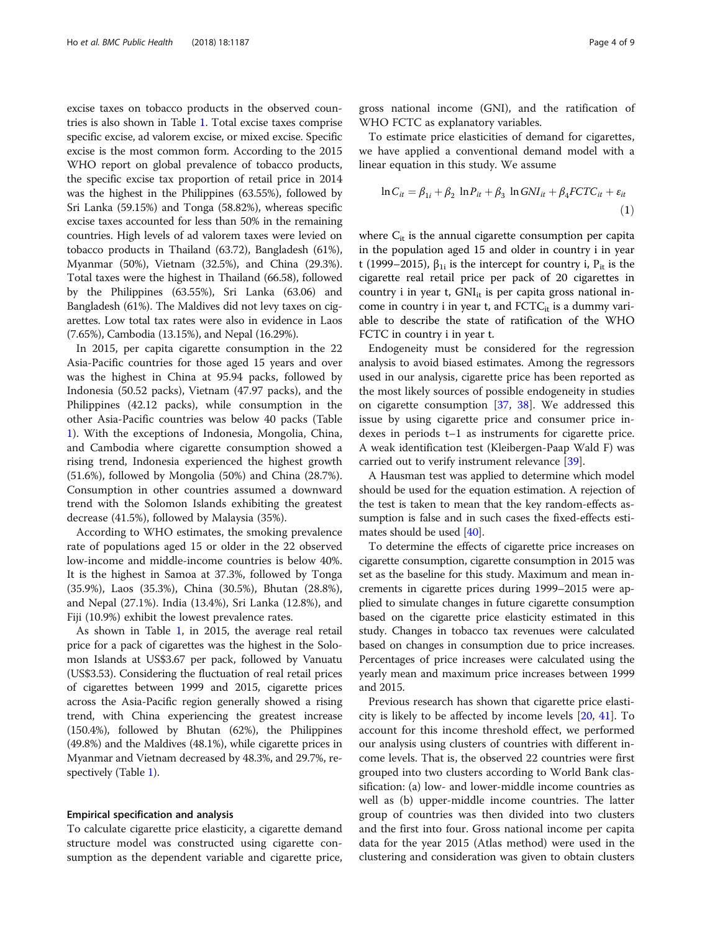excise taxes on tobacco products in the observed countries is also shown in Table [1](#page-2-0). Total excise taxes comprise specific excise, ad valorem excise, or mixed excise. Specific excise is the most common form. According to the 2015 WHO report on global prevalence of tobacco products, the specific excise tax proportion of retail price in 2014 was the highest in the Philippines (63.55%), followed by Sri Lanka (59.15%) and Tonga (58.82%), whereas specific excise taxes accounted for less than 50% in the remaining countries. High levels of ad valorem taxes were levied on tobacco products in Thailand (63.72), Bangladesh (61%), Myanmar (50%), Vietnam (32.5%), and China (29.3%). Total taxes were the highest in Thailand (66.58), followed by the Philippines (63.55%), Sri Lanka (63.06) and Bangladesh (61%). The Maldives did not levy taxes on cigarettes. Low total tax rates were also in evidence in Laos (7.65%), Cambodia (13.15%), and Nepal (16.29%).

In 2015, per capita cigarette consumption in the 22 Asia-Pacific countries for those aged 15 years and over was the highest in China at 95.94 packs, followed by Indonesia (50.52 packs), Vietnam (47.97 packs), and the Philippines (42.12 packs), while consumption in the other Asia-Pacific countries was below 40 packs (Table [1\)](#page-2-0). With the exceptions of Indonesia, Mongolia, China, and Cambodia where cigarette consumption showed a rising trend, Indonesia experienced the highest growth (51.6%), followed by Mongolia (50%) and China (28.7%). Consumption in other countries assumed a downward trend with the Solomon Islands exhibiting the greatest decrease (41.5%), followed by Malaysia (35%).

According to WHO estimates, the smoking prevalence rate of populations aged 15 or older in the 22 observed low-income and middle-income countries is below 40%. It is the highest in Samoa at 37.3%, followed by Tonga (35.9%), Laos (35.3%), China (30.5%), Bhutan (28.8%), and Nepal (27.1%). India (13.4%), Sri Lanka (12.8%), and Fiji (10.9%) exhibit the lowest prevalence rates.

As shown in Table [1](#page-2-0), in 2015, the average real retail price for a pack of cigarettes was the highest in the Solomon Islands at US\$3.67 per pack, followed by Vanuatu (US\$3.53). Considering the fluctuation of real retail prices of cigarettes between 1999 and 2015, cigarette prices across the Asia-Pacific region generally showed a rising trend, with China experiencing the greatest increase (150.4%), followed by Bhutan (62%), the Philippines (49.8%) and the Maldives (48.1%), while cigarette prices in Myanmar and Vietnam decreased by 48.3%, and 29.7%, respectively (Table [1](#page-2-0)).

### Empirical specification and analysis

To calculate cigarette price elasticity, a cigarette demand structure model was constructed using cigarette consumption as the dependent variable and cigarette price, gross national income (GNI), and the ratification of WHO FCTC as explanatory variables.

To estimate price elasticities of demand for cigarettes, we have applied a conventional demand model with a linear equation in this study. We assume

$$
\ln C_{it} = \beta_{1i} + \beta_2 \ln P_{it} + \beta_3 \ln GNI_{it} + \beta_4 FCTC_{it} + \varepsilon_{it}
$$
\n(1)

where  $C_{it}$  is the annual cigarette consumption per capita in the population aged 15 and older in country i in year t (1999–2015),  $\beta_{1i}$  is the intercept for country i,  $P_{it}$  is the cigarette real retail price per pack of 20 cigarettes in country i in year t,  $GNI_{it}$  is per capita gross national income in country i in year t, and  $\text{FCTC}_{it}$  is a dummy variable to describe the state of ratification of the WHO FCTC in country i in year t.

Endogeneity must be considered for the regression analysis to avoid biased estimates. Among the regressors used in our analysis, cigarette price has been reported as the most likely sources of possible endogeneity in studies on cigarette consumption [\[37](#page-8-0), [38\]](#page-8-0). We addressed this issue by using cigarette price and consumer price indexes in periods t–1 as instruments for cigarette price. A weak identification test (Kleibergen-Paap Wald F) was carried out to verify instrument relevance [\[39](#page-8-0)].

A Hausman test was applied to determine which model should be used for the equation estimation. A rejection of the test is taken to mean that the key random-effects assumption is false and in such cases the fixed-effects estimates should be used [\[40\]](#page-8-0).

To determine the effects of cigarette price increases on cigarette consumption, cigarette consumption in 2015 was set as the baseline for this study. Maximum and mean increments in cigarette prices during 1999–2015 were applied to simulate changes in future cigarette consumption based on the cigarette price elasticity estimated in this study. Changes in tobacco tax revenues were calculated based on changes in consumption due to price increases. Percentages of price increases were calculated using the yearly mean and maximum price increases between 1999 and 2015.

Previous research has shown that cigarette price elasticity is likely to be affected by income levels [[20,](#page-8-0) [41](#page-8-0)]. To account for this income threshold effect, we performed our analysis using clusters of countries with different income levels. That is, the observed 22 countries were first grouped into two clusters according to World Bank classification: (a) low- and lower-middle income countries as well as (b) upper-middle income countries. The latter group of countries was then divided into two clusters and the first into four. Gross national income per capita data for the year 2015 (Atlas method) were used in the clustering and consideration was given to obtain clusters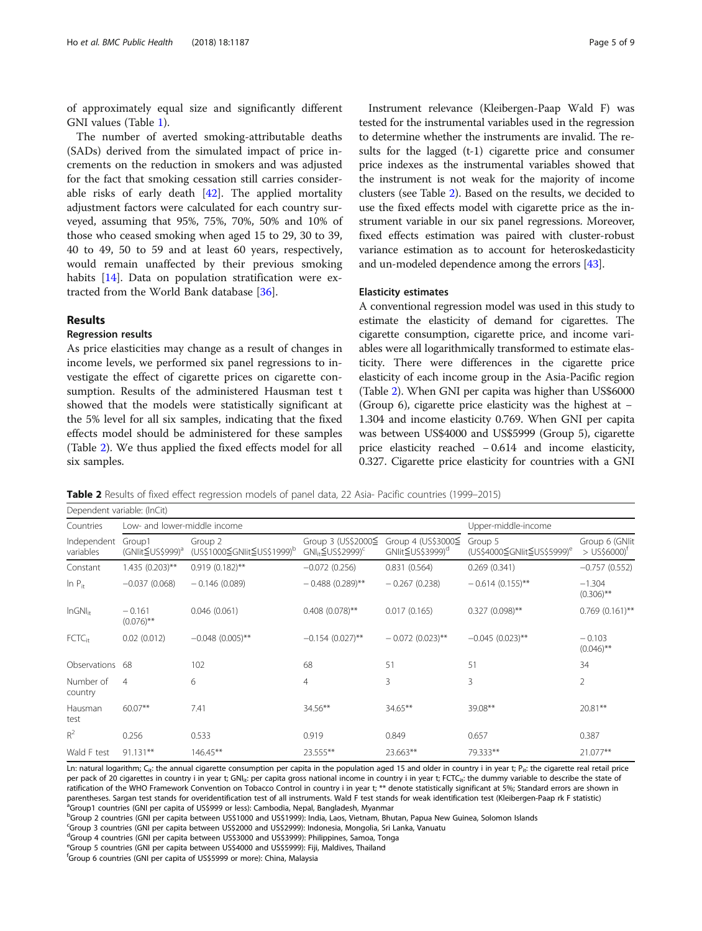of approximately equal size and significantly different GNI values (Table [1\)](#page-2-0).

The number of averted smoking-attributable deaths (SADs) derived from the simulated impact of price increments on the reduction in smokers and was adjusted for the fact that smoking cessation still carries considerable risks of early death [[42](#page-8-0)]. The applied mortality adjustment factors were calculated for each country surveyed, assuming that 95%, 75%, 70%, 50% and 10% of those who ceased smoking when aged 15 to 29, 30 to 39, 40 to 49, 50 to 59 and at least 60 years, respectively, would remain unaffected by their previous smoking habits [\[14\]](#page-7-0). Data on population stratification were extracted from the World Bank database [[36\]](#page-8-0).

# Results

# Regression results

As price elasticities may change as a result of changes in income levels, we performed six panel regressions to investigate the effect of cigarette prices on cigarette consumption. Results of the administered Hausman test t showed that the models were statistically significant at the 5% level for all six samples, indicating that the fixed effects model should be administered for these samples (Table 2). We thus applied the fixed effects model for all six samples.

Instrument relevance (Kleibergen-Paap Wald F) was tested for the instrumental variables used in the regression to determine whether the instruments are invalid. The results for the lagged (t-1) cigarette price and consumer price indexes as the instrumental variables showed that the instrument is not weak for the majority of income clusters (see Table 2). Based on the results, we decided to use the fixed effects model with cigarette price as the instrument variable in our six panel regressions. Moreover, fixed effects estimation was paired with cluster-robust variance estimation as to account for heteroskedasticity and un-modeled dependence among the errors [\[43\]](#page-8-0).

## Elasticity estimates

A conventional regression model was used in this study to estimate the elasticity of demand for cigarettes. The cigarette consumption, cigarette price, and income variables were all logarithmically transformed to estimate elasticity. There were differences in the cigarette price elasticity of each income group in the Asia-Pacific region (Table 2). When GNI per capita was higher than US\$6000 (Group 6), cigarette price elasticity was the highest at − 1.304 and income elasticity 0.769. When GNI per capita was between US\$4000 and US\$5999 (Group 5), cigarette price elasticity reached − 0.614 and income elasticity, 0.327. Cigarette price elasticity for countries with a GNI

Table 2 Results of fixed effect regression models of panel data, 22 Asia- Pacific countries (1999–2015)

| Dependent variable: (InCit) |                              |                                                   |                                                            |                                                    |                                                   |                                              |  |  |  |  |  |
|-----------------------------|------------------------------|---------------------------------------------------|------------------------------------------------------------|----------------------------------------------------|---------------------------------------------------|----------------------------------------------|--|--|--|--|--|
| Countries                   | Low- and lower-middle income |                                                   | Upper-middle-income                                        |                                                    |                                                   |                                              |  |  |  |  |  |
| Independent<br>variables    | Group1<br>(GNIit≦US\$999)ª   | Group 2<br>(US\$1000≦GNIit≦US\$1999) <sup>b</sup> | Group 3 (US\$2000≦<br>$GNI_{ir} \leq US$2999$ <sup>c</sup> | Group 4 (US\$3000≦<br>GNIit≦US\$3999) <sup>d</sup> | Group 5<br>(US\$4000≦GNIit≦US\$5999) <sup>e</sup> | Group 6 (GNlit<br>$>$ US\$6000) <sup>†</sup> |  |  |  |  |  |
| Constant                    | $1.435(0.203)$ **            | $0.919(0.182)$ **                                 | $-0.072(0.256)$                                            | 0.831(0.564)                                       | 0.269(0.341)                                      | $-0.757(0.552)$                              |  |  |  |  |  |
| $\ln P_{it}$                | $-0.037(0.068)$              | $-0.146(0.089)$                                   | $-0.488(0.289)$ **                                         | $-0.267(0.238)$                                    | $-0.614(0.155)$ **                                | $-1.304$<br>$(0.306)$ **                     |  |  |  |  |  |
| $InGNI_{ir}$                | $-0.161$<br>$(0.076)$ **     | 0.046(0.061)                                      | $0.408$ (0.078)**                                          | 0.017(0.165)                                       | $0.327(0.098)$ **                                 | $0.769(0.161)$ **                            |  |  |  |  |  |
| FCTC <sub>it</sub>          | 0.02(0.012)                  | $-0.048(0.005)$ **                                | $-0.154(0.027)$ **                                         | $-0.072(0.023)$ **                                 | $-0.045(0.023)$ **                                | $-0.103$<br>$(0.046)$ **                     |  |  |  |  |  |
| Observations                | 68                           | 102                                               | 68                                                         | 51                                                 | 51                                                | 34                                           |  |  |  |  |  |
| Number of<br>country        | $\overline{4}$               | 6                                                 | 4                                                          | 3                                                  | 3                                                 | $\overline{2}$                               |  |  |  |  |  |
| Hausman<br>test             | 60.07**                      | 7.41                                              | 34.56**                                                    | 34.65**                                            | 39.08**                                           | $20.81***$                                   |  |  |  |  |  |
| $R^2$                       | 0.256                        | 0.533                                             | 0.919                                                      | 0.849                                              | 0.657                                             | 0.387                                        |  |  |  |  |  |
| Wald F test                 | $91.131**$                   | $146.45**$                                        | 23.555**                                                   | 23.663**                                           | 79.333**                                          | 21.077**                                     |  |  |  |  |  |

Ln: natural logarithm; C<sub>it</sub>: the annual cigarette consumption per capita in the population aged 15 and older in country i in year t; P<sub>it</sub>: the cigarette real retail price per pack of 20 cigarettes in country i in year t; GNI<sub>it</sub>: per capita gross national income in country i in year t; FCTC<sub>it</sub>: the dummy variable to describe the state of ratification of the WHO Framework Convention on Tobacco Control in country i in year t; \*\* denote statistically significant at 5%; Standard errors are shown in parentheses. Sargan test stands for overidentification test of all instruments. Wald F test stands for weak identification test (Kleibergen-Paap rk F statistic) <sub>.</sub><br><sup>a</sup>Group1 countries (GNI per capita of US\$999 or less): Cambodia, Nepal, Bangladesh, Myanmar

<sup>b</sup>Group 2 countries (GNI per capita between US\$1000 and US\$1999): India, Laos, Vietnam, Bhutan, Papua New Guinea, Solomon Islands

<sup>c</sup>Group 3 countries (GNI per capita between US\$2000 and US\$2999): Indonesia, Mongolia, Sri Lanka, Vanuatu

d<br>Group 4 countries (GNI per capita between US\$3000 and US\$3999): Philippines, Samoa, Tonga

<sup>e</sup>Group 5 countries (GNI per capita between US\$4000 and US\$5999): Fiji, Maldives, Thailand

f Group 6 countries (GNI per capita of US\$5999 or more): China, Malaysia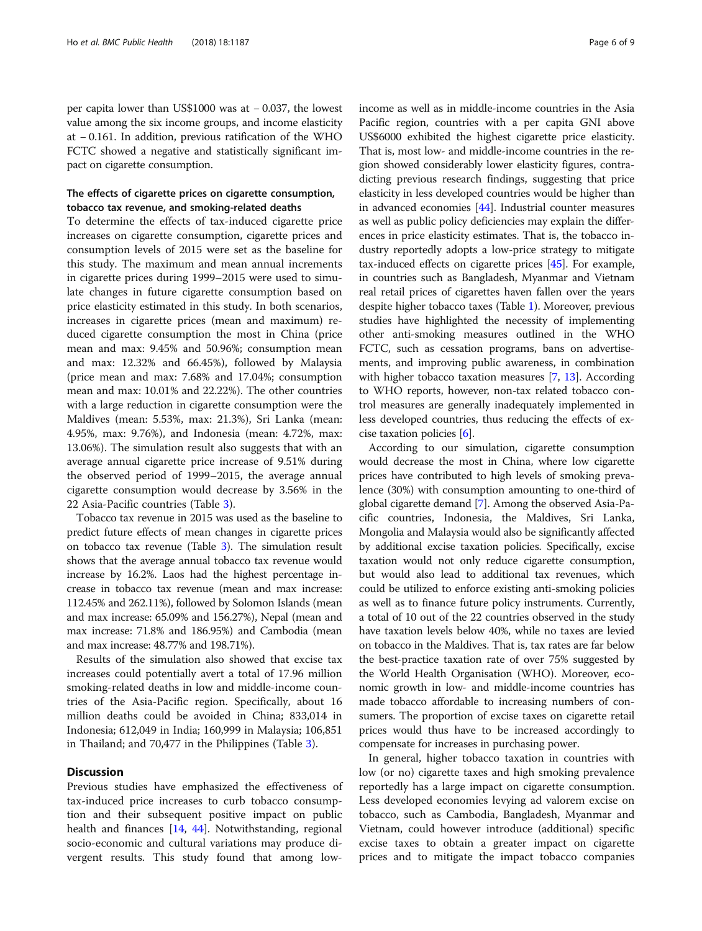per capita lower than US\$1000 was at − 0.037, the lowest value among the six income groups, and income elasticity at − 0.161. In addition, previous ratification of the WHO FCTC showed a negative and statistically significant impact on cigarette consumption.

# The effects of cigarette prices on cigarette consumption, tobacco tax revenue, and smoking-related deaths

To determine the effects of tax-induced cigarette price increases on cigarette consumption, cigarette prices and consumption levels of 2015 were set as the baseline for this study. The maximum and mean annual increments in cigarette prices during 1999–2015 were used to simulate changes in future cigarette consumption based on price elasticity estimated in this study. In both scenarios, increases in cigarette prices (mean and maximum) reduced cigarette consumption the most in China (price mean and max: 9.45% and 50.96%; consumption mean and max: 12.32% and 66.45%), followed by Malaysia (price mean and max: 7.68% and 17.04%; consumption mean and max: 10.01% and 22.22%). The other countries with a large reduction in cigarette consumption were the Maldives (mean: 5.53%, max: 21.3%), Sri Lanka (mean: 4.95%, max: 9.76%), and Indonesia (mean: 4.72%, max: 13.06%). The simulation result also suggests that with an average annual cigarette price increase of 9.51% during the observed period of 1999–2015, the average annual cigarette consumption would decrease by 3.56% in the 22 Asia-Pacific countries (Table [3](#page-6-0)).

Tobacco tax revenue in 2015 was used as the baseline to predict future effects of mean changes in cigarette prices on tobacco tax revenue (Table [3\)](#page-6-0). The simulation result shows that the average annual tobacco tax revenue would increase by 16.2%. Laos had the highest percentage increase in tobacco tax revenue (mean and max increase: 112.45% and 262.11%), followed by Solomon Islands (mean and max increase: 65.09% and 156.27%), Nepal (mean and max increase: 71.8% and 186.95%) and Cambodia (mean and max increase: 48.77% and 198.71%).

Results of the simulation also showed that excise tax increases could potentially avert a total of 17.96 million smoking-related deaths in low and middle-income countries of the Asia-Pacific region. Specifically, about 16 million deaths could be avoided in China; 833,014 in Indonesia; 612,049 in India; 160,999 in Malaysia; 106,851 in Thailand; and 70,477 in the Philippines (Table [3\)](#page-6-0).

# **Discussion**

Previous studies have emphasized the effectiveness of tax-induced price increases to curb tobacco consumption and their subsequent positive impact on public health and finances [[14](#page-7-0), [44\]](#page-8-0). Notwithstanding, regional socio-economic and cultural variations may produce divergent results. This study found that among lowincome as well as in middle-income countries in the Asia Pacific region, countries with a per capita GNI above US\$6000 exhibited the highest cigarette price elasticity. That is, most low- and middle-income countries in the region showed considerably lower elasticity figures, contradicting previous research findings, suggesting that price elasticity in less developed countries would be higher than in advanced economies [\[44\]](#page-8-0). Industrial counter measures as well as public policy deficiencies may explain the differences in price elasticity estimates. That is, the tobacco industry reportedly adopts a low-price strategy to mitigate tax-induced effects on cigarette prices [\[45\]](#page-8-0). For example, in countries such as Bangladesh, Myanmar and Vietnam real retail prices of cigarettes haven fallen over the years despite higher tobacco taxes (Table [1](#page-2-0)). Moreover, previous studies have highlighted the necessity of implementing other anti-smoking measures outlined in the WHO FCTC, such as cessation programs, bans on advertisements, and improving public awareness, in combination with higher tobacco taxation measures [[7](#page-7-0), [13](#page-7-0)]. According to WHO reports, however, non-tax related tobacco control measures are generally inadequately implemented in less developed countries, thus reducing the effects of excise taxation policies [[6\]](#page-7-0).

According to our simulation, cigarette consumption would decrease the most in China, where low cigarette prices have contributed to high levels of smoking prevalence (30%) with consumption amounting to one-third of global cigarette demand [[7\]](#page-7-0). Among the observed Asia-Pacific countries, Indonesia, the Maldives, Sri Lanka, Mongolia and Malaysia would also be significantly affected by additional excise taxation policies. Specifically, excise taxation would not only reduce cigarette consumption, but would also lead to additional tax revenues, which could be utilized to enforce existing anti-smoking policies as well as to finance future policy instruments. Currently, a total of 10 out of the 22 countries observed in the study have taxation levels below 40%, while no taxes are levied on tobacco in the Maldives. That is, tax rates are far below the best-practice taxation rate of over 75% suggested by the World Health Organisation (WHO). Moreover, economic growth in low- and middle-income countries has made tobacco affordable to increasing numbers of consumers. The proportion of excise taxes on cigarette retail prices would thus have to be increased accordingly to compensate for increases in purchasing power.

In general, higher tobacco taxation in countries with low (or no) cigarette taxes and high smoking prevalence reportedly has a large impact on cigarette consumption. Less developed economies levying ad valorem excise on tobacco, such as Cambodia, Bangladesh, Myanmar and Vietnam, could however introduce (additional) specific excise taxes to obtain a greater impact on cigarette prices and to mitigate the impact tobacco companies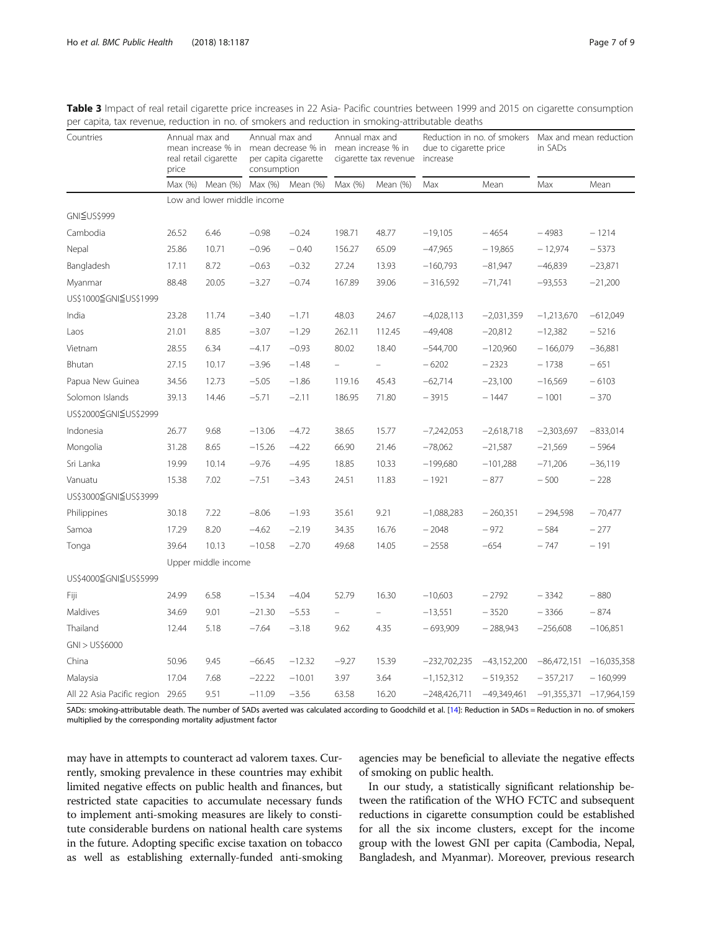| Countries                  | Annual max and<br>mean increase % in<br>real retail cigarette<br>price |                             | Annual max and<br>mean decrease % in mean increase % in<br>per capita cigarette<br>consumption |          | Annual max and<br>cigarette tax revenue |          | Reduction in no. of smokers<br>due to cigarette price<br>increase |               | Max and mean reduction<br>in SADs |                           |
|----------------------------|------------------------------------------------------------------------|-----------------------------|------------------------------------------------------------------------------------------------|----------|-----------------------------------------|----------|-------------------------------------------------------------------|---------------|-----------------------------------|---------------------------|
|                            | Max(%)                                                                 | Mean (%)                    | Max (%)                                                                                        | Mean (%) | Max (%)                                 | Mean (%) | Max                                                               | Mean          | Max                               | Mean                      |
|                            |                                                                        | Low and lower middle income |                                                                                                |          |                                         |          |                                                                   |               |                                   |                           |
| GNI≦US\$999                |                                                                        |                             |                                                                                                |          |                                         |          |                                                                   |               |                                   |                           |
| Cambodia                   | 26.52                                                                  | 6.46                        | $-0.98$                                                                                        | $-0.24$  | 198.71                                  | 48.77    | $-19,105$                                                         | $-4654$       | $-4983$                           | $-1214$                   |
| Nepal                      | 25.86                                                                  | 10.71                       | $-0.96$                                                                                        | $-0.40$  | 156.27                                  | 65.09    | $-47,965$                                                         | $-19,865$     | $-12,974$                         | $-5373$                   |
| Bangladesh                 | 17.11                                                                  | 8.72                        | $-0.63$                                                                                        | $-0.32$  | 27.24                                   | 13.93    | $-160,793$                                                        | $-81,947$     | $-46,839$                         | $-23,871$                 |
| Myanmar                    | 88.48                                                                  | 20.05                       | $-3.27$                                                                                        | $-0.74$  | 167.89                                  | 39.06    | $-316,592$                                                        | $-71,741$     | $-93,553$                         | $-21,200$                 |
| US\$1000≦GNI≦US\$1999      |                                                                        |                             |                                                                                                |          |                                         |          |                                                                   |               |                                   |                           |
| India                      | 23.28                                                                  | 11.74                       | $-3.40$                                                                                        | $-1.71$  | 48.03                                   | 24.67    | $-4,028,113$                                                      | $-2,031,359$  | $-1,213,670$                      | $-612,049$                |
| Laos                       | 21.01                                                                  | 8.85                        | $-3.07$                                                                                        | $-1.29$  | 262.11                                  | 112.45   | $-49,408$                                                         | $-20,812$     | $-12,382$                         | $-5216$                   |
| Vietnam                    | 28.55                                                                  | 6.34                        | $-4.17$                                                                                        | $-0.93$  | 80.02                                   | 18.40    | $-544,700$                                                        | $-120,960$    | $-166,079$                        | $-36,881$                 |
| Bhutan                     | 27.15                                                                  | 10.17                       | $-3.96$                                                                                        | $-1.48$  | $\equiv$                                |          | $-6202$                                                           | $-2323$       | $-1738$                           | $-651$                    |
| Papua New Guinea           | 34.56                                                                  | 12.73                       | $-5.05$                                                                                        | $-1.86$  | 119.16                                  | 45.43    | $-62,714$                                                         | $-23,100$     | $-16,569$                         | $-6103$                   |
| Solomon Islands            | 39.13                                                                  | 14.46                       | $-5.71$                                                                                        | $-2.11$  | 186.95                                  | 71.80    | $-3915$                                                           | $-1447$       | $-1001$                           | $-370$                    |
| US\$2000≦GNI≦US\$2999      |                                                                        |                             |                                                                                                |          |                                         |          |                                                                   |               |                                   |                           |
| Indonesia                  | 26.77                                                                  | 9.68                        | $-13.06$                                                                                       | $-4.72$  | 38.65                                   | 15.77    | $-7,242,053$                                                      | $-2,618,718$  | $-2,303,697$                      | $-833,014$                |
| Mongolia                   | 31.28                                                                  | 8.65                        | $-15.26$                                                                                       | $-4.22$  | 66.90                                   | 21.46    | $-78,062$                                                         | $-21,587$     | $-21,569$                         | $-5964$                   |
| Sri Lanka                  | 19.99                                                                  | 10.14                       | $-9.76$                                                                                        | $-4.95$  | 18.85                                   | 10.33    | $-199,680$                                                        | $-101,288$    | $-71,206$                         | $-36,119$                 |
| Vanuatu                    | 15.38                                                                  | 7.02                        | $-7.51$                                                                                        | $-3.43$  | 24.51                                   | 11.83    | $-1921$                                                           | $-877$        | $-500$                            | $-228$                    |
| US\$3000≦GNI≦US\$3999      |                                                                        |                             |                                                                                                |          |                                         |          |                                                                   |               |                                   |                           |
| Philippines                | 30.18                                                                  | 7.22                        | $-8.06$                                                                                        | $-1.93$  | 35.61                                   | 9.21     | $-1,088,283$                                                      | $-260,351$    | $-294,598$                        | $-70,477$                 |
| Samoa                      | 17.29                                                                  | 8.20                        | $-4.62$                                                                                        | $-2.19$  | 34.35                                   | 16.76    | $-2048$                                                           | $-972$        | $-584$                            | $-277$                    |
| Tonga                      | 39.64                                                                  | 10.13                       | $-10.58$                                                                                       | $-2.70$  | 49.68                                   | 14.05    | $-2558$                                                           | $-654$        | $-747$                            | $-191$                    |
|                            |                                                                        | Upper middle income         |                                                                                                |          |                                         |          |                                                                   |               |                                   |                           |
| US\$4000≦GNI≦US\$5999      |                                                                        |                             |                                                                                                |          |                                         |          |                                                                   |               |                                   |                           |
| Fiji                       | 24.99                                                                  | 6.58                        | $-15.34$                                                                                       | $-4.04$  | 52.79                                   | 16.30    | $-10,603$                                                         | $-2792$       | $-3342$                           | $-880$                    |
| Maldives                   | 34.69                                                                  | 9.01                        | $-21.30$                                                                                       | $-5.53$  | $\qquad \qquad -$                       |          | $-13,551$                                                         | $-3520$       | $-3366$                           | $-874$                    |
| Thailand                   | 12.44                                                                  | 5.18                        | $-7.64$                                                                                        | $-3.18$  | 9.62                                    | 4.35     | $-693,909$                                                        | $-288,943$    | $-256,608$                        | $-106,851$                |
| GNI > US\$6000             |                                                                        |                             |                                                                                                |          |                                         |          |                                                                   |               |                                   |                           |
| China                      | 50.96                                                                  | 9.45                        | $-66.45$                                                                                       | $-12.32$ | $-9.27$                                 | 15.39    | $-232,702,235$                                                    | $-43,152,200$ | $-86,472,151$                     | $-16,035,358$             |
| Malaysia                   | 17.04                                                                  | 7.68                        | $-22.22$                                                                                       | $-10.01$ | 3.97                                    | 3.64     | $-1,152,312$                                                      | $-519,352$    | $-357,217$                        | $-160,999$                |
| All 22 Asia Pacific region | 29.65                                                                  | 9.51                        | $-11.09$                                                                                       | $-3.56$  | 63.58                                   | 16.20    | $-248,426,711$                                                    | $-49,349,461$ |                                   | $-91,355,371 -17,964,159$ |

<span id="page-6-0"></span>Table 3 Impact of real retail cigarette price increases in 22 Asia- Pacific countries between 1999 and 2015 on cigarette consumption per capita, tax revenue, reduction in no. of smokers and reduction in smoking-attributable deaths

SADs: smoking-attributable death. The number of SADs averted was calculated according to Goodchild et al. [[14\]](#page-7-0): Reduction in SADs = Reduction in no. of smokers multiplied by the corresponding mortality adjustment factor

may have in attempts to counteract ad valorem taxes. Currently, smoking prevalence in these countries may exhibit limited negative effects on public health and finances, but restricted state capacities to accumulate necessary funds to implement anti-smoking measures are likely to constitute considerable burdens on national health care systems in the future. Adopting specific excise taxation on tobacco as well as establishing externally-funded anti-smoking agencies may be beneficial to alleviate the negative effects of smoking on public health.

In our study, a statistically significant relationship between the ratification of the WHO FCTC and subsequent reductions in cigarette consumption could be established for all the six income clusters, except for the income group with the lowest GNI per capita (Cambodia, Nepal, Bangladesh, and Myanmar). Moreover, previous research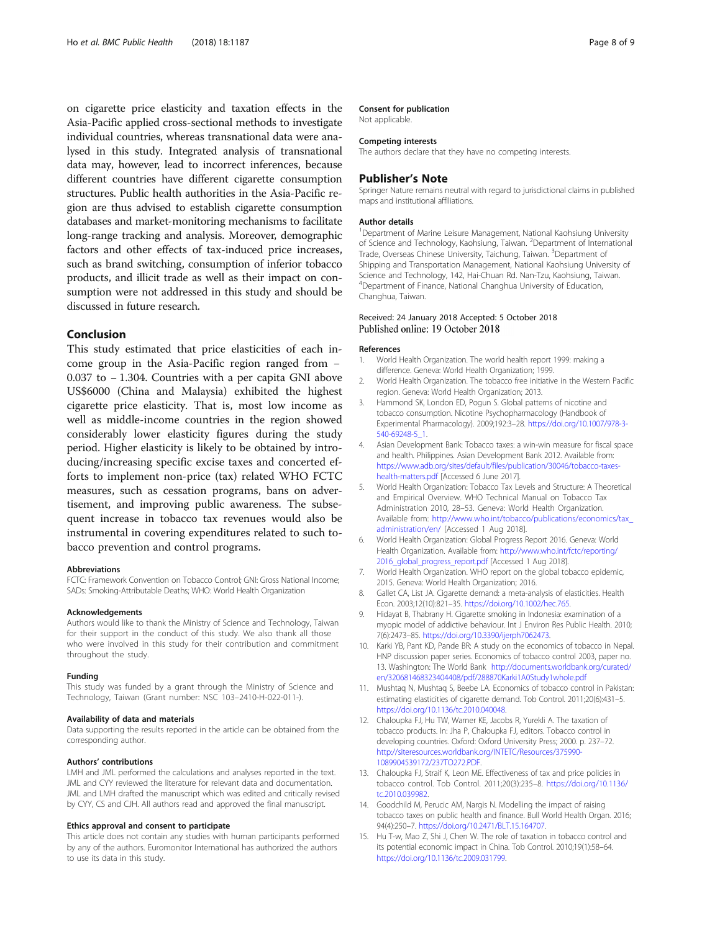<span id="page-7-0"></span>on cigarette price elasticity and taxation effects in the Asia-Pacific applied cross-sectional methods to investigate individual countries, whereas transnational data were analysed in this study. Integrated analysis of transnational data may, however, lead to incorrect inferences, because different countries have different cigarette consumption structures. Public health authorities in the Asia-Pacific region are thus advised to establish cigarette consumption databases and market-monitoring mechanisms to facilitate long-range tracking and analysis. Moreover, demographic factors and other effects of tax-induced price increases, such as brand switching, consumption of inferior tobacco products, and illicit trade as well as their impact on consumption were not addressed in this study and should be discussed in future research.

# Conclusion

This study estimated that price elasticities of each income group in the Asia-Pacific region ranged from − 0.037 to − 1.304. Countries with a per capita GNI above US\$6000 (China and Malaysia) exhibited the highest cigarette price elasticity. That is, most low income as well as middle-income countries in the region showed considerably lower elasticity figures during the study period. Higher elasticity is likely to be obtained by introducing/increasing specific excise taxes and concerted efforts to implement non-price (tax) related WHO FCTC measures, such as cessation programs, bans on advertisement, and improving public awareness. The subsequent increase in tobacco tax revenues would also be instrumental in covering expenditures related to such tobacco prevention and control programs.

#### Abbreviations

FCTC: Framework Convention on Tobacco Control; GNI: Gross National Income; SADs: Smoking-Attributable Deaths; WHO: World Health Organization

#### Acknowledgements

Authors would like to thank the Ministry of Science and Technology, Taiwan for their support in the conduct of this study. We also thank all those who were involved in this study for their contribution and commitment throughout the study.

#### Funding

This study was funded by a grant through the Ministry of Science and Technology, Taiwan (Grant number: NSC 103–2410-H-022-011-).

#### Availability of data and materials

Data supporting the results reported in the article can be obtained from the corresponding author.

#### Authors' contributions

LMH and JML performed the calculations and analyses reported in the text. JML and CYY reviewed the literature for relevant data and documentation. JML and LMH drafted the manuscript which was edited and critically revised by CYY, CS and CJH. All authors read and approved the final manuscript.

#### Ethics approval and consent to participate

This article does not contain any studies with human participants performed by any of the authors. Euromonitor International has authorized the authors to use its data in this study.

#### Consent for publication

Not applicable.

## Competing interests

The authors declare that they have no competing interests.

#### Publisher's Note

Springer Nature remains neutral with regard to jurisdictional claims in published maps and institutional affiliations.

#### Author details

<sup>1</sup>Department of Marine Leisure Management, National Kaohsiung University of Science and Technology, Kaohsiung, Taiwan. <sup>2</sup>Department of International Trade, Overseas Chinese University, Taichung, Taiwan. <sup>3</sup>Department of Shipping and Transportation Management, National Kaohsiung University of Science and Technology, 142, Hai-Chuan Rd. Nan-Tzu, Kaohsiung, Taiwan. 4 Department of Finance, National Changhua University of Education, Changhua, Taiwan.

## Received: 24 January 2018 Accepted: 5 October 2018 Published online: 19 October 2018

#### References

- 1. World Health Organization. The world health report 1999: making a difference. Geneva: World Health Organization; 1999.
- 2. World Health Organization. The tobacco free initiative in the Western Pacific region. Geneva: World Health Organization; 2013.
- 3. Hammond SK, London ED, Pogun S. Global patterns of nicotine and tobacco consumption. Nicotine Psychopharmacology (Handbook of Experimental Pharmacology). 2009;192:3–28. [https://doi.org/10.1007/978-3-](https://doi.org/10.1007/978-3-540-69248-5_1) [540-69248-5\\_1.](https://doi.org/10.1007/978-3-540-69248-5_1)
- 4. Asian Development Bank: Tobacco taxes: a win-win measure for fiscal space and health. Philippines. Asian Development Bank 2012. Available from: [https://www.adb.org/sites/default/files/publication/30046/tobacco-taxes](https://www.adb.org/sites/default/files/publication/30046/tobacco-taxes-health-matters.pdf)[health-matters.pdf](https://www.adb.org/sites/default/files/publication/30046/tobacco-taxes-health-matters.pdf) [Accessed 6 June 2017].
- 5. World Health Organization: Tobacco Tax Levels and Structure: A Theoretical and Empirical Overview. WHO Technical Manual on Tobacco Tax Administration 2010, 28–53. Geneva: World Health Organization. Available from: [http://www.who.int/tobacco/publications/economics/tax\\_](http://www.who.int/tobacco/publications/economics/tax_administration/en/) [administration/en/](http://www.who.int/tobacco/publications/economics/tax_administration/en/) [Accessed 1 Aug 2018].
- 6. World Health Organization: Global Progress Report 2016. Geneva: World Health Organization. Available from: [http://www.who.int/fctc/reporting/](http://www.who.int/fctc/reporting/2016_global_progress_report.pdf) [2016\\_global\\_progress\\_report.pdf](http://www.who.int/fctc/reporting/2016_global_progress_report.pdf) [Accessed 1 Aug 2018].
- 7. World Health Organization. WHO report on the global tobacco epidemic, 2015. Geneva: World Health Organization; 2016.
- 8. Gallet CA, List JA. Cigarette demand: a meta-analysis of elasticities. Health Econ. 2003;12(10):821–35. <https://doi.org/10.1002/hec.765>.
- Hidayat B, Thabrany H. Cigarette smoking in Indonesia: examination of a myopic model of addictive behaviour. Int J Environ Res Public Health. 2010; 7(6):2473–85. <https://doi.org/10.3390/ijerph7062473>.
- 10. Karki YB, Pant KD, Pande BR: A study on the economics of tobacco in Nepal. HNP discussion paper series. Economics of tobacco control 2003, paper no. 13. Washington: The World Bank [http://documents.worldbank.org/curated/](http://documents.worldbank.org/curated/en/320681468323404408/pdf/288870Karki1A0Study1whole.pdf) [en/320681468323404408/pdf/288870Karki1A0Study1whole.pdf](http://documents.worldbank.org/curated/en/320681468323404408/pdf/288870Karki1A0Study1whole.pdf)
- 11. Mushtaq N, Mushtaq S, Beebe LA. Economics of tobacco control in Pakistan: estimating elasticities of cigarette demand. Tob Control. 2011;20(6):431–5. [https://doi.org/10.1136/tc.2010.040048.](https://doi.org/10.1136/tc.2010.040048)
- 12. Chaloupka FJ, Hu TW, Warner KE, Jacobs R, Yurekli A. The taxation of tobacco products. In: Jha P, Chaloupka FJ, editors. Tobacco control in developing countries. Oxford: Oxford University Press; 2000. p. 237–72. [http://siteresources.worldbank.org/INTETC/Resources/375990-](http://siteresources.worldbank.org/INTETC/Resources/375990-1089904539172/237TO272.PDF) [1089904539172/237TO272.PDF.](http://siteresources.worldbank.org/INTETC/Resources/375990-1089904539172/237TO272.PDF)
- 13. Chaloupka FJ, Straif K, Leon ME. Effectiveness of tax and price policies in tobacco control. Tob Control. 2011;20(3):235–8. [https://doi.org/10.1136/](https://doi.org/10.1136/tc.2010.039982) [tc.2010.039982.](https://doi.org/10.1136/tc.2010.039982)
- 14. Goodchild M, Perucic AM, Nargis N. Modelling the impact of raising tobacco taxes on public health and finance. Bull World Health Organ. 2016; 94(4):250–7. <https://doi.org/10.2471/BLT.15.164707>.
- 15. Hu T-w, Mao Z, Shi J, Chen W. The role of taxation in tobacco control and its potential economic impact in China. Tob Control. 2010;19(1):58–64. [https://doi.org/10.1136/tc.2009.031799.](https://doi.org/10.1136/tc.2009.031799)